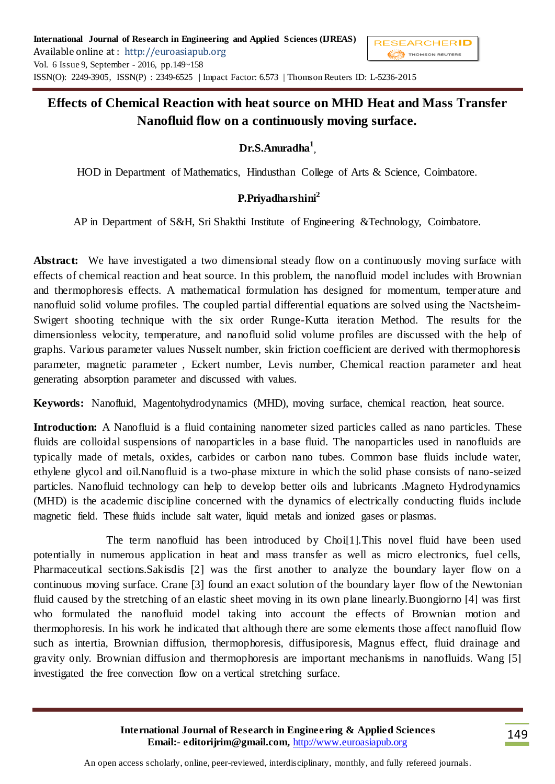# **Effects of Chemical Reaction with heat source on MHD Heat and Mass Transfer Nanofluid flow on a continuously moving surface.**

## **Dr.S.Anuradha<sup>1</sup> ,**

HOD in Department of Mathematics, Hindusthan College of Arts & Science, Coimbatore.

## **P.Priyadharshini<sup>2</sup>**

AP in Department of S&H, Sri Shakthi Institute of Engineering &Technology, Coimbatore.

Abstract: We have investigated a two dimensional steady flow on a continuously moving surface with effects of chemical reaction and heat source. In this problem, the nanofluid model includes with Brownian and thermophoresis effects. A mathematical formulation has designed for momentum, temper ature and nanofluid solid volume profiles. The coupled partial differential equations are solved using the Nactsheim-Swigert shooting technique with the six order Runge-Kutta iteration Method. The results for the dimensionless velocity, temperature, and nanofluid solid volume profiles are discussed with the help of graphs. Various parameter values Nusselt number, skin friction coefficient are derived with thermophoresis parameter, magnetic parameter , Eckert number, Levis number, Chemical reaction parameter and heat generating absorption parameter and discussed with values.

**Keywords:** Nanofluid, Magentohydrodynamics (MHD), moving surface, chemical reaction, heat source.

**Introduction:** A Nanofluid is a fluid containing nanometer sized particles called as nano particles. These fluids are colloidal suspensions of nanoparticles in a base fluid. The nanoparticles used in nanofluids are typically made of metals, oxides, carbides or carbon nano tubes. Common base fluids include water, ethylene glycol and oil.Nanofluid is a two-phase mixture in which the solid phase consists of nano-seized particles. Nanofluid technology can help to develop better oils and lubricants .Magneto Hydrodynamics (MHD) is the academic discipline concerned with the dynamics of electrically conducting fluids include magnetic field. These fluids include salt water, liquid metals and ionized gases or plasmas.

 The term nanofluid has been introduced by Choi[1].This novel fluid have been used potentially in numerous application in heat and mass transfer as well as micro electronics, fuel cells, Pharmaceutical sections.Sakisdis [2] was the first another to analyze the boundary layer flow on a continuous moving surface. Crane [3] found an exact solution of the boundary layer flow of the Newtonian fluid caused by the stretching of an elastic sheet moving in its own plane linearly.Buongiorno [4] was first who formulated the nanofluid model taking into account the effects of Brownian motion and thermophoresis. In his work he indicated that although there are some elements those affect nanofluid flow such as intertia, Brownian diffusion, thermophoresis, diffusiporesis, Magnus effect, fluid drainage and gravity only. Brownian diffusion and thermophoresis are important mechanisms in nanofluids. Wang [5] investigated the free convection flow on a vertical stretching surface.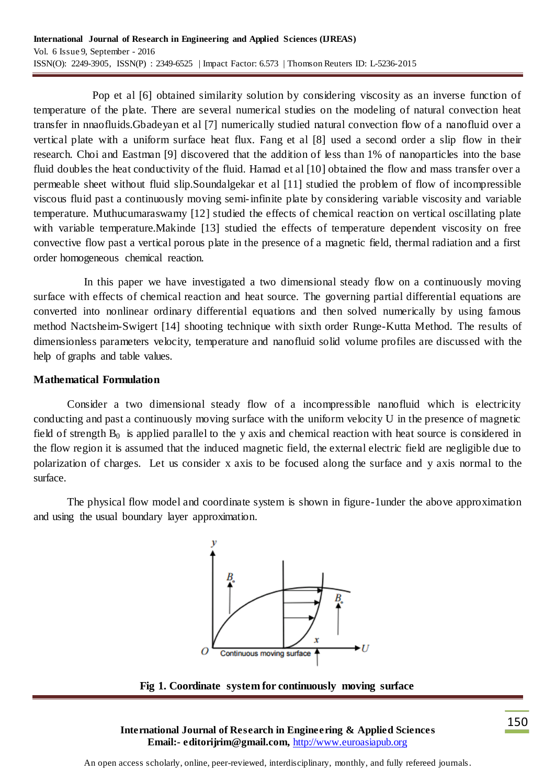Pop et al [6] obtained similarity solution by considering viscosity as an inverse function of temperature of the plate. There are several numerical studies on the modeling of natural convection heat transfer in nnaofluids.Gbadeyan et al [7] numerically studied natural convection flow of a nanofluid over a vertical plate with a uniform surface heat flux. Fang et al [8] used a second order a slip flow in their research. Choi and Eastman [9] discovered that the addition of less than 1% of nanoparticles into the base fluid doubles the heat conductivity of the fluid. Hamad et al [10] obtained the flow and mass transfer over a permeable sheet without fluid slip.Soundalgekar et al [11] studied the problem of flow of incompressible viscous fluid past a continuously moving semi-infinite plate by considering variable viscosity and variable temperature. Muthucumaraswamy [12] studied the effects of chemical reaction on vertical oscillating plate with variable temperature. Makinde [13] studied the effects of temperature dependent viscosity on free convective flow past a vertical porous plate in the presence of a magnetic field, thermal radiation and a first order homogeneous chemical reaction.

 In this paper we have investigated a two dimensional steady flow on a continuously moving surface with effects of chemical reaction and heat source. The governing partial differential equations are converted into nonlinear ordinary differential equations and then solved numerically by using famous method Nactsheim-Swigert [14] shooting technique with sixth order Runge-Kutta Method. The results of dimensionless parameters velocity, temperature and nanofluid solid volume profiles are discussed with the help of graphs and table values.

#### **Mathematical Formulation**

Consider a two dimensional steady flow of a incompressible nanofluid which is electricity conducting and past a continuously moving surface with the uniform velocity U in the presence of magnetic field of strength  $B_0$  is applied parallel to the y axis and chemical reaction with heat source is considered in the flow region it is assumed that the induced magnetic field, the external electric field are negligible due to polarization of charges. Let us consider x axis to be focused along the surface and y axis normal to the surface.

The physical flow model and coordinate system is shown in figure-1under the above approximation and using the usual boundary layer approximation.



**Fig 1. Coordinate system for continuously moving surface**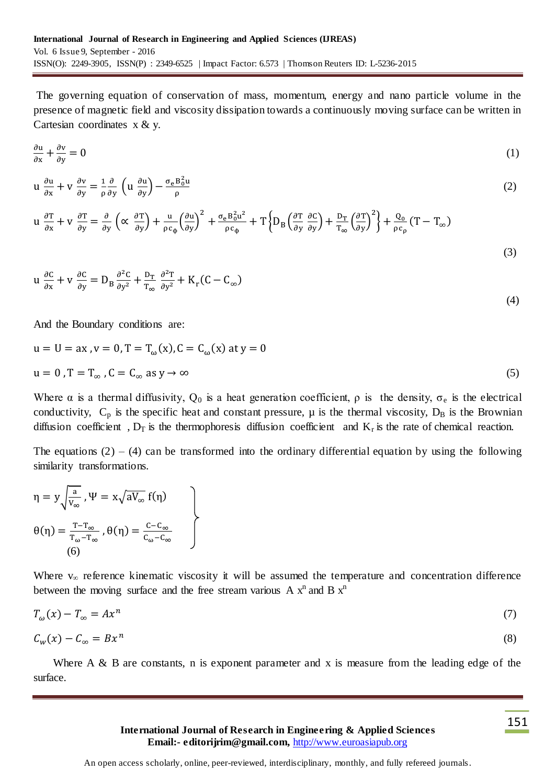The governing equation of conservation of mass, momentum, energy and nano particle volume in the presence of magnetic field and viscosity dissipation towards a continuously moving surface can be written in Cartesian coordinates  $x \& y$ .

$$
\frac{\partial u}{\partial x} + \frac{\partial v}{\partial y} = 0 \tag{1}
$$

$$
u \frac{\partial u}{\partial x} + v \frac{\partial v}{\partial y} = \frac{1}{\rho} \frac{\partial}{\partial y} \left( u \frac{\partial u}{\partial y} \right) - \frac{\sigma_e B_0^2 u}{\rho}
$$
 (2)

$$
u \frac{\partial T}{\partial x} + v \frac{\partial T}{\partial y} = \frac{\partial}{\partial y} \left( \alpha \frac{\partial T}{\partial y} \right) + \frac{u}{\rho c_{\phi}} \left( \frac{\partial u}{\partial y} \right)^2 + \frac{\sigma_e B_0^2 u^2}{\rho c_{\phi}} + T \left\{ D_B \left( \frac{\partial T}{\partial y} \frac{\partial C}{\partial y} \right) + \frac{D_T}{T_{\infty}} \left( \frac{\partial T}{\partial y} \right)^2 \right\} + \frac{Q_0}{\rho c_{\rho}} (T - T_{\infty})
$$
\n(3)

$$
u \frac{\partial C}{\partial x} + v \frac{\partial C}{\partial y} = D_B \frac{\partial^2 C}{\partial y^2} + \frac{D_T}{T_{\infty}} \frac{\partial^2 T}{\partial y^2} + K_r(C - C_{\infty})
$$
\n(4)

And the Boundary conditions are:

$$
u = U = ax, v = 0, T = Tω(x), C = Cω(x) at y = 0
$$
  

$$
u = 0, T = Tω, C = Cω as y \rightarrow ∞
$$
 (5)

Where  $\alpha$  is a thermal diffusivity,  $Q_0$  is a heat generation coefficient,  $\rho$  is the density,  $\sigma_e$  is the electrical conductivity,  $C_p$  is the specific heat and constant pressure,  $\mu$  is the thermal viscosity,  $D_B$  is the Brownian diffusion coefficient,  $D_T$  is the thermophoresis diffusion coefficient and  $K_r$  is the rate of chemical reaction.

The equations  $(2) - (4)$  can be transformed into the ordinary differential equation by using the following similarity transformations.

$$
\eta = y \sqrt{\frac{a}{v_{\infty}}}, \Psi = x \sqrt{aV_{\infty}} f(\eta)
$$
  

$$
\theta(\eta) = \frac{T - T_{\infty}}{T_{\omega} - T_{\infty}}, \theta(\eta) = \frac{C - C_{\infty}}{C_{\omega} - C_{\infty}}
$$
  
(6)

Where  $v_{\infty}$  reference kinematic viscosity it will be assumed the temperature and concentration difference between the moving surface and the free stream various A  $x^n$  and B  $x^n$ 

$$
T_{\omega}(x) - T_{\infty} = Ax^n \tag{7}
$$

$$
C_w(x) - C_\infty = Bx^n \tag{8}
$$

Where  $A \& B$  are constants, n is exponent parameter and x is measure from the leading edge of the surface.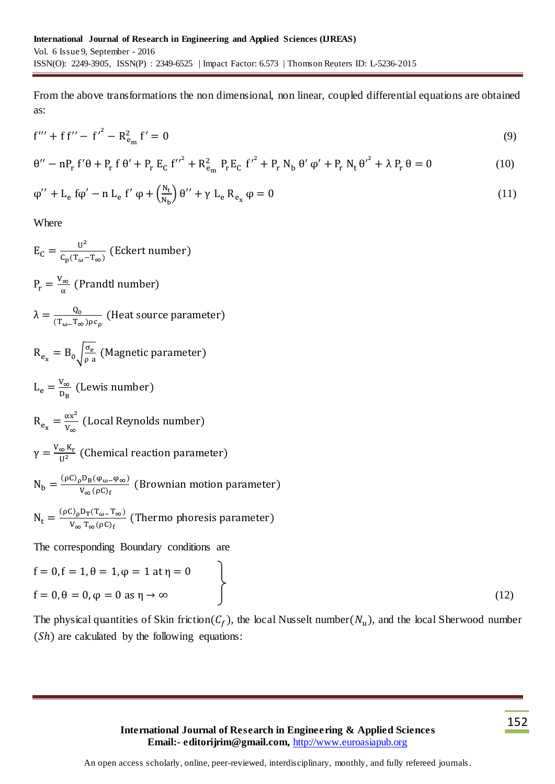From the above transformations the non dimensional, non linear, coupled differential equations are obtained as:

$$
f''' + f f'' - f'^2 - R_{e_m}^2 f' = 0
$$
\n(9)

$$
\theta'' - nP_r f' \theta + P_r f \theta' + P_r E_C f''^2 + R_{e_m}^2 P_r E_C f'^2 + P_r N_b \theta' \phi' + P_r N_t \theta'^2 + \lambda P_r \theta = 0
$$
\n(10)

$$
\varphi'' + L_e f \varphi' - n L_e f' \varphi + \left(\frac{N_t}{N_b}\right) \theta'' + \gamma L_e R_{e_x} \varphi = 0
$$
\n(11)

Where

$$
E_C = \frac{u^2}{c_p(\tau_{\omega} - \tau_{\infty})}
$$
 (Eckert number)  
\n
$$
P_r = \frac{v_{\infty}}{\alpha}
$$
 (Prandtl number)  
\n
$$
\lambda = \frac{Q_0}{(\tau_{\omega} - \tau_{\infty})\rho c_p}
$$
 (Heat source parameter)  
\n
$$
R_{e_x} = B_0 \sqrt{\frac{\sigma_e}{\rho a}}
$$
 (Magnetic parameter)  
\n
$$
L_e = \frac{v_{\infty}}{v_{\infty}}
$$
 (Lewis number)  
\n
$$
R_{e_x} = \frac{\alpha x^2}{v_{\infty}}
$$
 (Local Reynolds number)  
\n
$$
\gamma = \frac{v_{\infty} K_r}{u^2}
$$
 (Chemical reaction parameter)  
\n
$$
N_b = \frac{(\rho C)_{\rho} D_B (\varphi_{\omega} - \varphi_{\infty})}{v_{\infty} (\rho C)_f}
$$
 (Brownian motion parameter)  
\n
$$
N_t = \frac{(\rho C)_{\rho} D_T(\tau_{\omega} - \tau_{\infty})}{v_{\infty} \tau_{\infty} (\rho C)_f}
$$
 (Thermo phonesis parameter)  
\nThe corresponding Boundary conditions are  
\n $f = 0, f = 1, \theta = 1, \phi = 1$  at  $\eta = 0$   
\n $f = 0, \theta = 0, \phi = 0$  as  $\eta \to \infty$  (12)

The physical quantities of Skin friction( $C_f$ ), the local Nusselt number( $N_u$ ), and the local Sherwood number  $( Sh)$  are calculated by the following equations: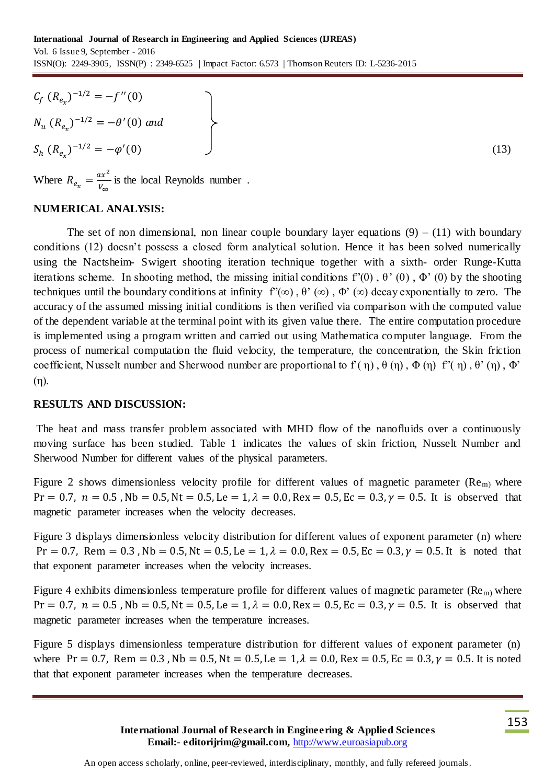$$
C_f (R_{e_x})^{-1/2} = -f''(0)
$$
  
\n
$$
N_u (R_{e_x})^{-1/2} = -\theta'(0) \text{ and }
$$
  
\n
$$
S_h (R_{e_x})^{-1/2} = -\varphi'(0)
$$
 (13)

Where  $R_{e_x} = \frac{ax^2}{V}$  $\frac{dx}{v_{\infty}}$  is the local Reynolds number.

#### **NUMERICAL ANALYSIS:**

The set of non dimensional, non linear couple boundary layer equations  $(9) - (11)$  with boundary conditions (12) doesn't possess a closed form analytical solution. Hence it has been solved numerically using the Nactsheim- Swigert shooting iteration technique together with a sixth- order Runge-Kutta iterations scheme. In shooting method, the missing initial conditions f'(0),  $\theta$ ' (0),  $\Phi$ ' (0) by the shooting techniques until the boundary conditions at infinity  $f'(\infty)$ ,  $\theta'(\infty)$ ,  $\Phi'(\infty)$  decay exponentially to zero. The accuracy of the assumed missing initial conditions is then verified via comparison with the computed value of the dependent variable at the terminal point with its given value there. The entire computation procedure is implemented using a program written and carried out using Mathematica computer language. From the process of numerical computation the fluid velocity, the temperature, the concentration, the Skin friction coefficient, Nusselt number and Sherwood number are proportional to  $f'(\eta)$ ,  $\theta(\eta)$ ,  $\Phi(\eta)$ ,  $\theta'(\eta)$ ,  $\theta'(\eta)$ ,  $\Phi'$ (η).

#### **RESULTS AND DISCUSSION:**

The heat and mass transfer problem associated with MHD flow of the nanofluids over a continuously moving surface has been studied. Table 1 indicates the values of skin friction, Nusselt Number and Sherwood Number for different values of the physical parameters.

Figure 2 shows dimensionless velocity profile for different values of magnetic parameter ( $\text{Re}_{\text{m}}$ ) where  $Pr = 0.7$ ,  $n = 0.5$ ,  $Nb = 0.5$ ,  $Nt = 0.5$ ,  $Le = 1$ ,  $\lambda = 0.0$ ,  $Rex = 0.5$ ,  $Ec = 0.3$ ,  $\gamma = 0.5$ . It is observed that magnetic parameter increases when the velocity decreases.

Figure 3 displays dimensionless velocity distribution for different values of exponent parameter (n) where  $Pr = 0.7$ , Rem = 0.3, Nb = 0.5, Nt = 0.5, Le = 1,  $\lambda = 0.0$ , Rex = 0.5, Ec = 0.3,  $\gamma = 0.5$ . It is noted that that exponent parameter increases when the velocity increases.

Figure 4 exhibits dimensionless temperature profile for different values of magnetic parameter ( $\text{Re}_{\text{m}}$ ) where  $Pr = 0.7$ ,  $n = 0.5$ ,  $Nb = 0.5$ ,  $Nt = 0.5$ ,  $Le = 1$ ,  $\lambda = 0.0$ ,  $Rex = 0.5$ ,  $Ec = 0.3$ ,  $\gamma = 0.5$ . It is observed that magnetic parameter increases when the temperature increases.

Figure 5 displays dimensionless temperature distribution for different values of exponent parameter (n) where Pr = 0.7, Rem = 0.3, Nb = 0.5, Nt = 0.5, Le =  $1, \lambda = 0.0$ , Rex = 0.5, Ec = 0.3,  $\gamma = 0.5$ . It is noted that that exponent parameter increases when the temperature decreases.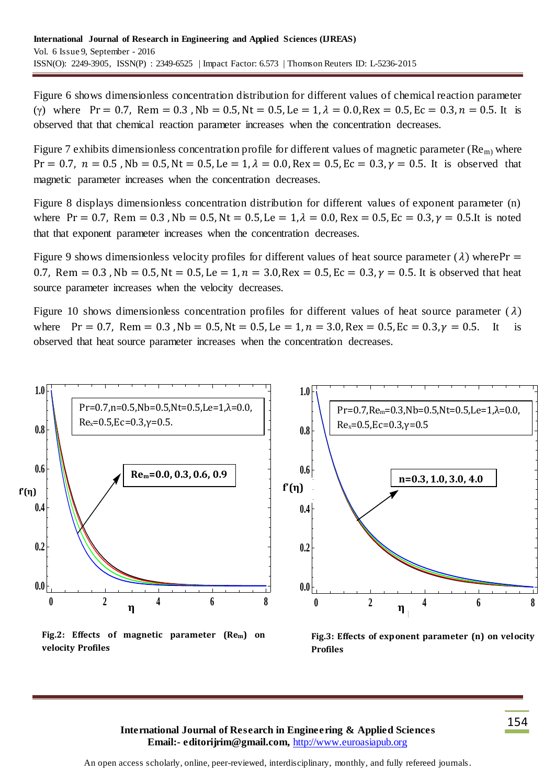Figure 6 shows dimensionless concentration distribution for different values of chemical reaction parameter (γ) where  $Pr = 0.7$ , Rem = 0.3, Nb = 0.5, Nt = 0.5, Le = 1,  $\lambda = 0.0$ , Rex = 0.5, Ec = 0.3, n = 0.5. It is observed that that chemical reaction parameter increases when the concentration decreases.

Figure 7 exhibits dimensionless concentration profile for different values of magnetic parameter ( $\text{Re}_{\text{m}}$ ) where  $Pr = 0.7$ ,  $n = 0.5$ ,  $Nb = 0.5$ ,  $Nt = 0.5$ ,  $Le = 1$ ,  $\lambda = 0.0$ ,  $Rex = 0.5$ ,  $Ec = 0.3$ ,  $\gamma = 0.5$ . It is observed that magnetic parameter increases when the concentration decreases.

Figure 8 displays dimensionless concentration distribution for different values of exponent parameter (n) where Pr = 0.7, Rem = 0.3, Nb = 0.5, Nt = 0.5, Le =  $1, \lambda = 0.0$ , Rex = 0.5, Ec = 0.3,  $\gamma = 0.5$ . It is noted that that exponent parameter increases when the concentration decreases.

Figure 9 shows dimensionless velocity profiles for different values of heat source parameter ( $\lambda$ ) where Pr = 0.7, Rem = 0.3, Nb = 0.5, Nt = 0.5, Le = 1, n = 3.0, Rex = 0.5, Ec = 0.3,  $\gamma$  = 0.5. It is observed that heat source parameter increases when the velocity decreases.

Figure 10 shows dimensionless concentration profiles for different values of heat source parameter ( $\lambda$ ) where  $Pr = 0.7$ , Rem = 0.3, Nb = 0.5, Nt = 0.5, Le = 1, n = 3.0, Rex = 0.5, Ec = 0.3,  $\gamma = 0.5$ . It is observed that heat source parameter increases when the concentration decreases.



**Profiles**

**International Journal of Research in Engineering & Applied Sciences Email:- editorijrim@gmail.com,** http://www.euroasiapub.org

**velocity Profiles**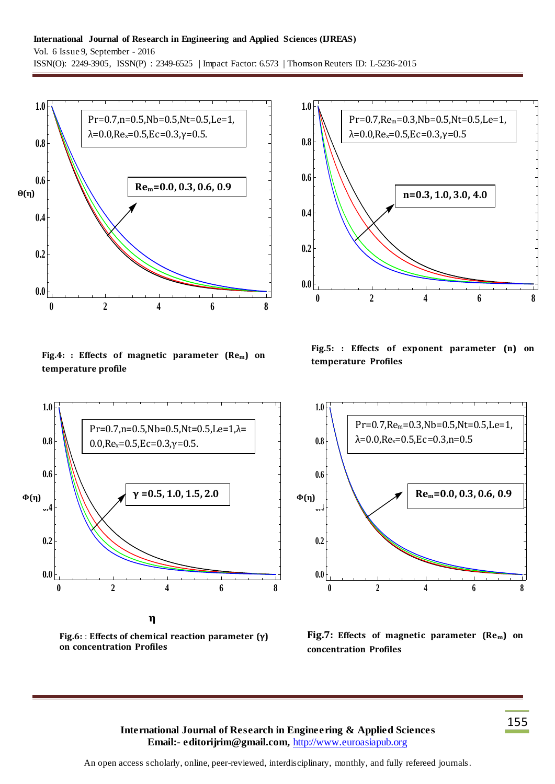#### **International Journal of Research in Engineering and Applied Sciences (IJREAS)** Vol. 6 Issue 9, September - 2016 ISSN(O): 2249-3905, ISSN(P) : 2349-6525 | Impact Factor: 6.573 | Thomson Reuters ID: L-5236-2015



**Fig.4: : Effects of magnetic parameter (Rem) on temperature profile**



**Fig.6:** : **Effects of chemical reaction parameter Fig.6:** : **Effects of chemical reaction parameter (γ) on concentration Profiles** 



**Fig.5: : Effects of exponent parameter (n) on temperature Profiles**



**Fig.7: Effects of magnetic parameter (Rem) on concentration Profiles**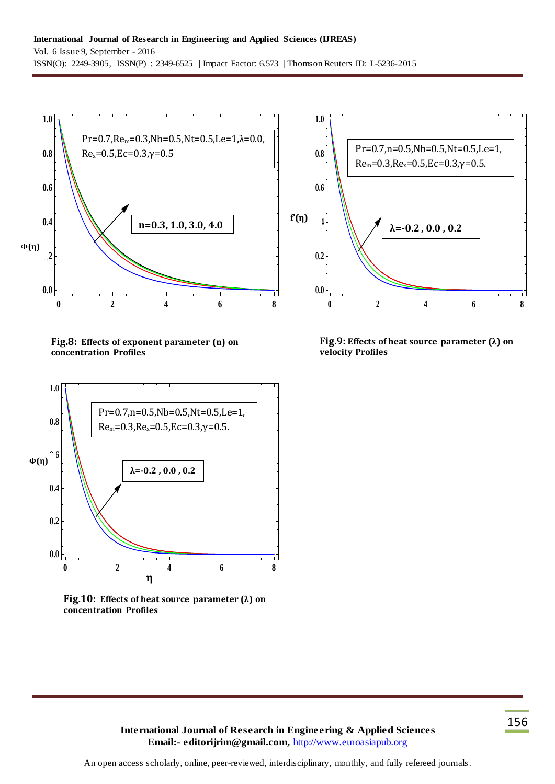

**Fig.8: Effects of exponent parameter (n) on concentration Profiles**



**Fig.10: Effects of heat source parameter (λ) on concentration Profiles**



**Fig.9: Effects of heat source parameter (λ) on velocity Profiles**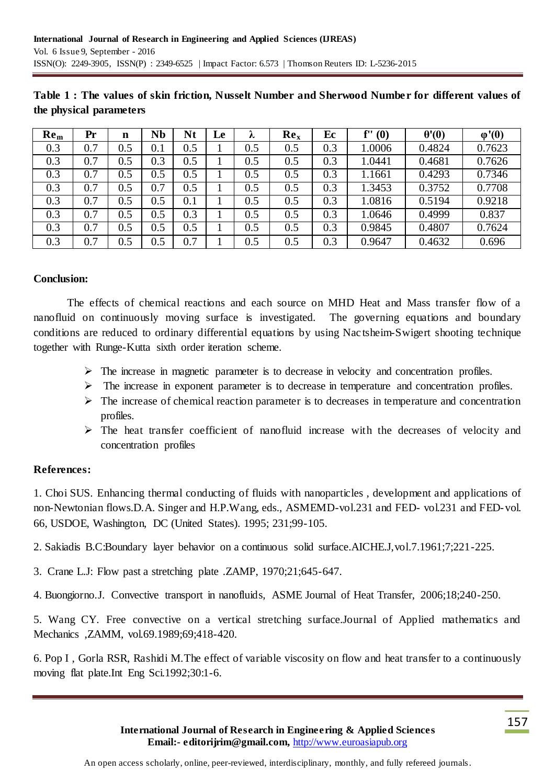| Re <sub>m</sub> | Pr  | n       | Nb  | Nt      | Le | $\lambda$ | Re <sub>x</sub> | Ec  | f''(0) | $\theta'(0)$ | $\varphi'(0)$ |
|-----------------|-----|---------|-----|---------|----|-----------|-----------------|-----|--------|--------------|---------------|
| 0.3             | 0.7 | 0.5     | 0.1 | 0.5     |    | 0.5       | 0.5             | 0.3 | 1.0006 | 0.4824       | 0.7623        |
| 0.3             | 0.7 | 0.5     | 0.3 | 0.5     |    | 0.5       | 0.5             | 0.3 | 1.0441 | 0.4681       | 0.7626        |
| 0.3             | 0.7 | 0.5     | 0.5 | $0.5\,$ |    | 0.5       | 0.5             | 0.3 | 1.1661 | 0.4293       | 0.7346        |
| 0.3             | 0.7 | 0.5     | 0.7 | 0.5     |    | 0.5       | 0.5             | 0.3 | 1.3453 | 0.3752       | 0.7708        |
| 0.3             | 0.7 | $0.5\,$ | 0.5 | $0.1\,$ |    | 0.5       | 0.5             | 0.3 | 1.0816 | 0.5194       | 0.9218        |
| 0.3             | 0.7 | 0.5     | 0.5 | 0.3     |    | 0.5       | 0.5             | 0.3 | 1.0646 | 0.4999       | 0.837         |
| 0.3             | 0.7 | $0.5\,$ | 0.5 | 0.5     |    | 0.5       | 0.5             | 0.3 | 0.9845 | 0.4807       | 0.7624        |
| 0.3             | 0.7 | 0.5     | 0.5 | 0.7     |    | 0.5       | 0.5             | 0.3 | 0.9647 | 0.4632       | 0.696         |

**Table 1 : The values of skin friction, Nusselt Number and Sherwood Number for different values of the physical parameters**

### **Conclusion:**

The effects of chemical reactions and each source on MHD Heat and Mass transfer flow of a nanofluid on continuously moving surface is investigated. The governing equations and boundary conditions are reduced to ordinary differential equations by using Nac tsheim-Swigert shooting technique together with Runge-Kutta sixth order iteration scheme.

- $\triangleright$  The increase in magnetic parameter is to decrease in velocity and concentration profiles.
- $\triangleright$  The increase in exponent parameter is to decrease in temperature and concentration profiles.
- $\triangleright$  The increase of chemical reaction parameter is to decreases in temperature and concentration profiles.
- $\triangleright$  The heat transfer coefficient of nanofluid increase with the decreases of velocity and concentration profiles

### **References:**

1. Choi SUS. Enhancing thermal conducting of fluids with nanoparticles , development and applications of non-Newtonian flows.D.A. Singer and H.P.Wang, eds., ASMEMD-vol.231 and FED- vol.231 and FED-vol. 66, USDOE, Washington, DC (United States). 1995; 231;99-105.

2. Sakiadis B.C:Boundary layer behavior on a continuous solid surface.AICHE.J,vol.7.1961;7;221-225.

- 3. Crane L.J: Flow past a stretching plate .ZAMP, 1970;21;645-647.
- 4. Buongiorno.J. Convective transport in nanofluids, ASME Journal of Heat Transfer, 2006;18;240-250.

5. Wang CY. Free convective on a vertical stretching surface.Journal of Applied mathematics and Mechanics ,ZAMM, vol.69.1989;69;418-420.

6. Pop I , Gorla RSR, Rashidi M.The effect of variable viscosity on flow and heat transfer to a continuously moving flat plate.Int Eng Sci.1992;30:1-6.